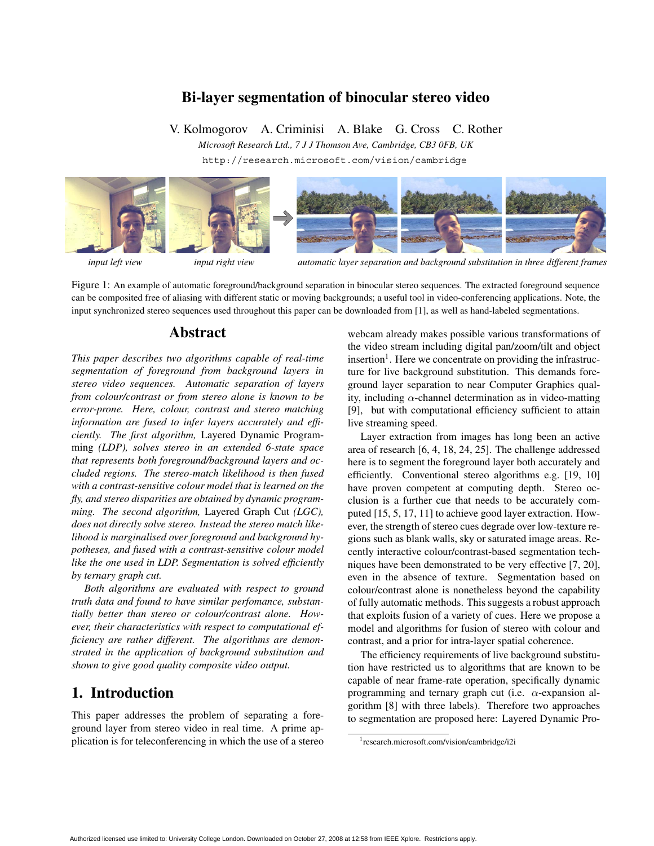## **Bi-layer segmentation of binocular stereo video**

V. Kolmogorov A. Criminisi A. Blake G. Cross C. Rother

*Microsoft Research Ltd., 7 J J Thomson Ave, Cambridge, CB3 0FB, UK*

http://research.microsoft.com/vision/cambridge



*input left view input right view automatic layer separation and background substitution in three different frames*

Figure 1: An example of automatic foreground/background separation in binocular stereo sequences. The extracted foreground sequence can be composited free of aliasing with different static or moving backgrounds; a useful tool in video-conferencing applications. Note, the input synchronized stereo sequences used throughout this paper can be downloaded from [1], as well as hand-labeled segmentations.

## **Abstract**

*This paper describes two algorithms capable of real-time segmentation of foreground from background layers in stereo video sequences. Automatic separation of layers from colour/contrast or from stereo alone is known to be error-prone. Here, colour, contrast and stereo matching information are fused to infer layers accurately and efficiently. The first algorithm,* Layered Dynamic Programming *(LDP), solves stereo in an extended 6-state space that represents both foreground/background layers and occluded regions. The stereo-match likelihood is then fused with a contrast-sensitive colour model that is learned on the fly, and stereo disparities are obtained by dynamic programming. The second algorithm,* Layered Graph Cut *(LGC), does not directly solve stereo. Instead the stereo match likelihood is marginalised over foreground and background hypotheses, and fused with a contrast-sensitive colour model like the one used in LDP. Segmentation is solved efficiently by ternary graph cut.*

*Both algorithms are evaluated with respect to ground truth data and found to have similar perfomance, substantially better than stereo or colour/contrast alone. However, their characteristics with respect to computational efficiency are rather different. The algorithms are demonstrated in the application of background substitution and shown to give good quality composite video output.*

# **1. Introduction**

This paper addresses the problem of separating a foreground layer from stereo video in real time. A prime application is for teleconferencing in which the use of a stereo webcam already makes possible various transformations of the video stream including digital pan/zoom/tilt and object insertion<sup>1</sup>. Here we concentrate on providing the infrastructure for live background substitution. This demands foreground layer separation to near Computer Graphics quality, including  $\alpha$ -channel determination as in video-matting [9], but with computational efficiency sufficient to attain live streaming speed.

Layer extraction from images has long been an active area of research [6, 4, 18, 24, 25]. The challenge addressed here is to segment the foreground layer both accurately and efficiently. Conventional stereo algorithms e.g. [19, 10] have proven competent at computing depth. Stereo occlusion is a further cue that needs to be accurately computed [15, 5, 17, 11] to achieve good layer extraction. However, the strength of stereo cues degrade over low-texture regions such as blank walls, sky or saturated image areas. Recently interactive colour/contrast-based segmentation techniques have been demonstrated to be very effective [7, 20], even in the absence of texture. Segmentation based on colour/contrast alone is nonetheless beyond the capability of fully automatic methods. This suggests a robust approach that exploits fusion of a variety of cues. Here we propose a model and algorithms for fusion of stereo with colour and contrast, and a prior for intra-layer spatial coherence.

The efficiency requirements of live background substitution have restricted us to algorithms that are known to be capable of near frame-rate operation, specifically dynamic programming and ternary graph cut (i.e.  $\alpha$ -expansion algorithm [8] with three labels). Therefore two approaches to segmentation are proposed here: Layered Dynamic Pro-

<sup>1</sup>research.microsoft.com/vision/cambridge/i2i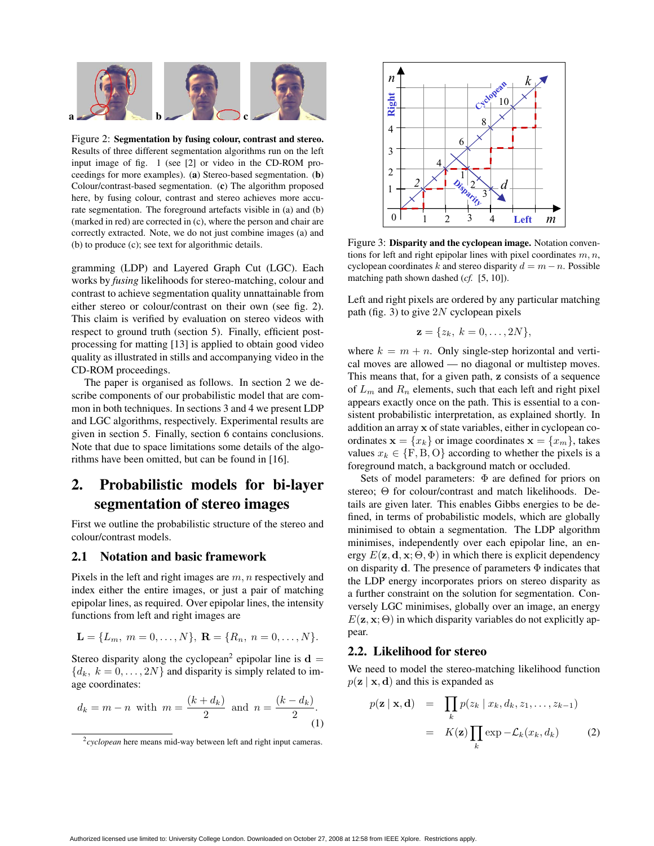

Figure 2: **Segmentation by fusing colour, contrast and stereo.** Results of three different segmentation algorithms run on the left input image of fig. 1 (see [2] or video in the CD-ROM proceedings for more examples). (**a**) Stereo-based segmentation. (**b**) Colour/contrast-based segmentation. (**c**) The algorithm proposed here, by fusing colour, contrast and stereo achieves more accurate segmentation. The foreground artefacts visible in (a) and (b) (marked in red) are corrected in (c), where the person and chair are correctly extracted. Note, we do not just combine images (a) and (b) to produce (c); see text for algorithmic details.

gramming (LDP) and Layered Graph Cut (LGC). Each works by *fusing* likelihoods for stereo-matching, colour and contrast to achieve segmentation quality unnattainable from either stereo or colour/contrast on their own (see fig. 2). This claim is verified by evaluation on stereo videos with respect to ground truth (section 5). Finally, efficient postprocessing for matting [13] is applied to obtain good video quality as illustrated in stills and accompanying video in the CD-ROM proceedings.

The paper is organised as follows. In section 2 we describe components of our probabilistic model that are common in both techniques. In sections 3 and 4 we present LDP and LGC algorithms, respectively. Experimental results are given in section 5. Finally, section 6 contains conclusions. Note that due to space limitations some details of the algorithms have been omitted, but can be found in [16].

# **2. Probabilistic models for bi-layer segmentation of stereo images**

First we outline the probabilistic structure of the stereo and colour/contrast models.

### **2.1 Notation and basic framework**

Pixels in the left and right images are  $m, n$  respectively and index either the entire images, or just a pair of matching epipolar lines, as required. Over epipolar lines, the intensity functions from left and right images are

$$
\mathbf{L} = \{L_m, m = 0, \ldots, N\}, \; \mathbf{R} = \{R_n, n = 0, \ldots, N\}.
$$

Stereo disparity along the cyclopean<sup>2</sup> epipolar line is  $\mathbf{d} =$  ${d_k, k = 0, \ldots, 2N}$  and disparity is simply related to image coordinates:

$$
d_k = m - n
$$
 with  $m = \frac{(k + d_k)}{2}$  and  $n = \frac{(k - d_k)}{2}$ . (1)



Figure 3: **Disparity and the cyclopean image.** Notation conventions for left and right epipolar lines with pixel coordinates  $m, n$ , cyclopean coordinates k and stereo disparity  $d = m - n$ . Possible matching path shown dashed (*cf.* [5, 10]).

Left and right pixels are ordered by any particular matching path (fig. 3) to give  $2N$  cyclopean pixels

$$
\mathbf{z} = \{z_k, k = 0, \ldots, 2N\},\
$$

where  $k = m + n$ . Only single-step horizontal and vertical moves are allowed — no diagonal or multistep moves. This means that, for a given path, **z** consists of a sequence of  $L_m$  and  $R_n$  elements, such that each left and right pixel appears exactly once on the path. This is essential to a consistent probabilistic interpretation, as explained shortly. In addition an array **x** of state variables, either in cyclopean coordinates  $\mathbf{x} = \{x_k\}$  or image coordinates  $\mathbf{x} = \{x_m\}$ , takes values  $x_k \in \{F, B, O\}$  according to whether the pixels is a foreground match, a background match or occluded.

Sets of model parameters:  $\Phi$  are defined for priors on stereo; Θ for colour/contrast and match likelihoods. Details are given later. This enables Gibbs energies to be defined, in terms of probabilistic models, which are globally minimised to obtain a segmentation. The LDP algorithm minimises, independently over each epipolar line, an energy  $E(\mathbf{z}, \mathbf{d}, \mathbf{x}; \Theta, \Phi)$  in which there is explicit dependency on disparity **d**. The presence of parameters Φ indicates that the LDP energy incorporates priors on stereo disparity as a further constraint on the solution for segmentation. Conversely LGC minimises, globally over an image, an energy  $E(\mathbf{z}, \mathbf{x}; \Theta)$  in which disparity variables do not explicitly appear.

#### **2.2. Likelihood for stereo**

We need to model the stereo-matching likelihood function  $p(\mathbf{z} \mid \mathbf{x}, \mathbf{d})$  and this is expanded as

$$
p(\mathbf{z} \mid \mathbf{x}, \mathbf{d}) = \prod_{k} p(z_k \mid x_k, d_k, z_1, \dots, z_{k-1})
$$

$$
= K(\mathbf{z}) \prod_{k} \exp{-\mathcal{L}_k(x_k, d_k)} \qquad (2)
$$

<sup>&</sup>lt;sup>2</sup>cyclopean here means mid-way between left and right input cameras.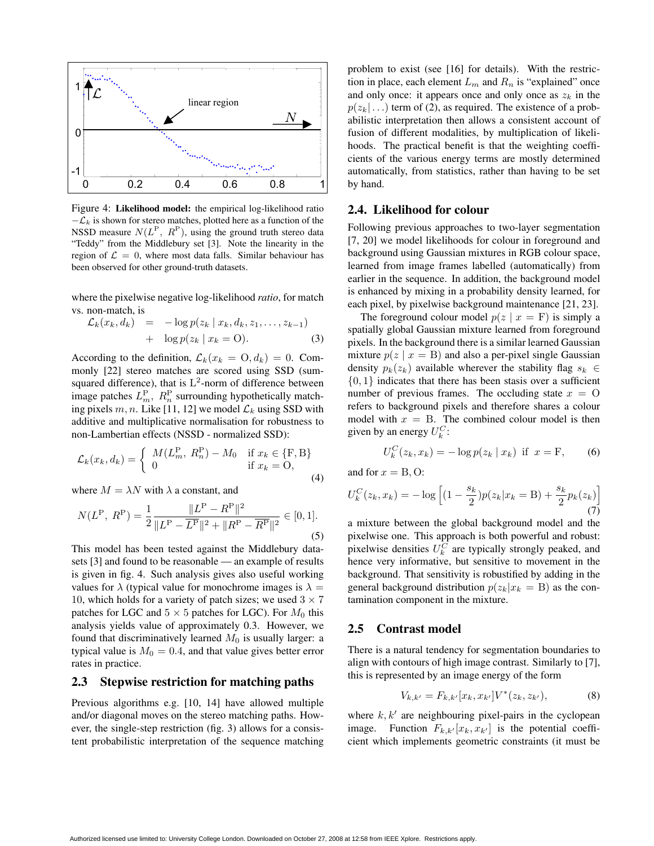

Figure 4: **Likelihood model:** the empirical log-likelihood ratio  $-\mathcal{L}_k$  is shown for stereo matches, plotted here as a function of the NSSD measure  $N(L^P, R^P)$ , using the ground truth stereo data "Teddy" from the Middlebury set [3]. Note the linearity in the region of  $\mathcal{L} = 0$ , where most data falls. Similar behaviour has been observed for other ground-truth datasets.

where the pixelwise negative log-likelihood *ratio*, for match vs. non-match, is

$$
\mathcal{L}_k(x_k, d_k) = -\log p(z_k \mid x_k, d_k, z_1, \dots, z_{k-1})
$$
  
+ 
$$
\log p(z_k \mid x_k = 0).
$$
 (3)

According to the definition,  $\mathcal{L}_k(x_k = 0, d_k) = 0$ . Commonly [22] stereo matches are scored using SSD (sumsquared difference), that is  $L^2$ -norm of difference between image patches  $L_m^{\rm P}$ ,  $R_n^{\rm P}$  surrounding hypothetically matching pixels m, n. Like [11, 12] we model  $\mathcal{L}_k$  using SSD with additive and multiplicative normalisation for robustness to non-Lambertian effects (NSSD - normalized SSD):

$$
\mathcal{L}_k(x_k, d_k) = \begin{cases} M(L_m^P, R_n^P) - M_0 & \text{if } x_k \in \{F, B\} \\ 0 & \text{if } x_k = O, \end{cases}
$$
\n(4)

where  $M = \lambda N$  with  $\lambda$  a constant, and

$$
N(L^{P}, R^{P}) = \frac{1}{2} \frac{\|L^{P} - R^{P}\|^{2}}{\|L^{P} - \overline{L^{P}}\|^{2} + \|R^{P} - \overline{R^{P}}\|^{2}} \in [0, 1].
$$
\n(5)

This model has been tested against the Middlebury datasets [3] and found to be reasonable — an example of results is given in fig. 4. Such analysis gives also useful working values for  $\lambda$  (typical value for monochrome images is  $\lambda =$ 10, which holds for a variety of patch sizes; we used  $3 \times 7$ patches for LGC and  $5 \times 5$  patches for LGC). For  $M_0$  this analysis yields value of approximately 0.3. However, we found that discriminatively learned  $M_0$  is usually larger: a typical value is  $M_0 = 0.4$ , and that value gives better error rates in practice.

#### **2.3 Stepwise restriction for matching paths**

Previous algorithms e.g. [10, 14] have allowed multiple and/or diagonal moves on the stereo matching paths. However, the single-step restriction (fig. 3) allows for a consistent probabilistic interpretation of the sequence matching

problem to exist (see [16] for details). With the restriction in place, each element  $L_m$  and  $R_n$  is "explained" once and only once: it appears once and only once as  $z_k$  in the  $p(z_k | ...)$  term of (2), as required. The existence of a probabilistic interpretation then allows a consistent account of fusion of different modalities, by multiplication of likelihoods. The practical benefit is that the weighting coefficients of the various energy terms are mostly determined automatically, from statistics, rather than having to be set by hand.

### **2.4. Likelihood for colour**

Following previous approaches to two-layer segmentation [7, 20] we model likelihoods for colour in foreground and background using Gaussian mixtures in RGB colour space, learned from image frames labelled (automatically) from earlier in the sequence. In addition, the background model is enhanced by mixing in a probability density learned, for each pixel, by pixelwise background maintenance [21, 23].

The foreground colour model  $p(z \mid x = F)$  is simply a spatially global Gaussian mixture learned from foreground pixels. In the background there is a similar learned Gaussian mixture  $p(z \mid x = B)$  and also a per-pixel single Gaussian density  $p_k(z_k)$  available wherever the stability flag  $s_k \in$  $\{0, 1\}$  indicates that there has been stasis over a sufficient number of previous frames. The occluding state  $x = 0$ refers to background pixels and therefore shares a colour model with  $x = B$ . The combined colour model is then given by an energy  $U_k^C$ :

$$
U_k^C(z_k, x_k) = -\log p(z_k | x_k) \text{ if } x = \mathbf{F}, \qquad (6)
$$

and for  $x = B, O$ :

$$
U_k^C(z_k, x_k) = -\log \left[ (1 - \frac{s_k}{2}) p(z_k | x_k = B) + \frac{s_k}{2} p_k(z_k) \right]
$$
\n(7)

a mixture between the global background model and the pixelwise one. This approach is both powerful and robust: pixelwise densities  $U_k^{\overrightarrow{C}}$  are typically strongly peaked, and hence very informative, but sensitive to movement in the background. That sensitivity is robustified by adding in the general background distribution  $p(z_k|x_k = B)$  as the contamination component in the mixture.

#### **2.5 Contrast model**

There is a natural tendency for segmentation boundaries to align with contours of high image contrast. Similarly to [7], this is represented by an image energy of the form

$$
V_{k,k'} = F_{k,k'}[x_k, x_{k'}]V^*(z_k, z_{k'}),
$$
 (8)

where  $k, k'$  are neighbouring pixel-pairs in the cyclopean image. Function  $F_{k,k'}[x_k, x_{k'}]$  is the potential coefficient which implements geometric constraints (it must be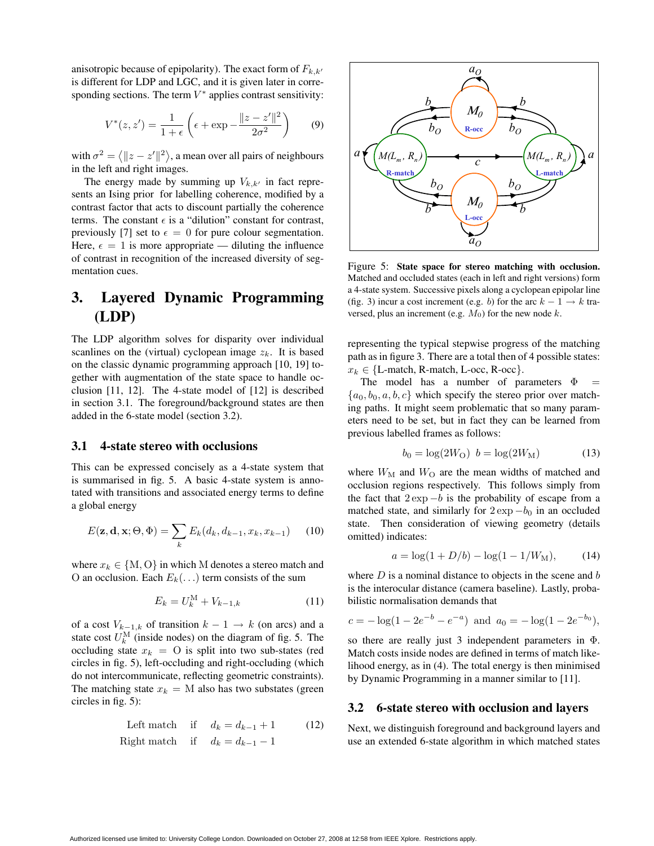anisotropic because of epipolarity). The exact form of  $F_{k,k'}$ is different for LDP and LGC, and it is given later in corresponding sections. The term  $V^*$  applies contrast sensitivity:

$$
V^*(z, z') = \frac{1}{1+\epsilon} \left( \epsilon + \exp{-\frac{\|z - z'\|^2}{2\sigma^2}} \right) \tag{9}
$$

with  $\sigma^2 = \langle ||z - z'||^2 \rangle$ , a mean over all pairs of neighbours in the left and right images.

The energy made by summing up  $V_{k,k'}$  in fact represents an Ising prior for labelling coherence, modified by a contrast factor that acts to discount partially the coherence terms. The constant  $\epsilon$  is a "dilution" constant for contrast, previously [7] set to  $\epsilon = 0$  for pure colour segmentation. Here,  $\epsilon = 1$  is more appropriate — diluting the influence of contrast in recognition of the increased diversity of segmentation cues.

# **3. Layered Dynamic Programming (LDP)**

The LDP algorithm solves for disparity over individual scanlines on the (virtual) cyclopean image  $z_k$ . It is based on the classic dynamic programming approach [10, 19] together with augmentation of the state space to handle occlusion [11, 12]. The 4-state model of [12] is described in section 3.1. The foreground/background states are then added in the 6-state model (section 3.2).

## **3.1 4-state stereo with occlusions**

This can be expressed concisely as a 4-state system that is summarised in fig. 5. A basic 4-state system is annotated with transitions and associated energy terms to define a global energy

$$
E(\mathbf{z}, \mathbf{d}, \mathbf{x}; \Theta, \Phi) = \sum_{k} E_k(d_k, d_{k-1}, x_k, x_{k-1}) \quad (10)
$$

where  $x_k \in \{M, O\}$  in which M denotes a stereo match and O an occlusion. Each  $E_k(\ldots)$  term consists of the sum

$$
E_k = U_k^{\text{M}} + V_{k-1,k} \tag{11}
$$

of a cost  $V_{k-1,k}$  of transition  $k-1 \rightarrow k$  (on arcs) and a state cost  $U_k^{\text{M}}$  (inside nodes) on the diagram of fig. 5. The occluding state  $x_k = 0$  is split into two sub-states (red circles in fig. 5), left-occluding and right-occluding (which do not intercommunicate, reflecting geometric constraints). The matching state  $x_k = M$  also has two substates (green circles in fig. 5):

Left match if 
$$
d_k = d_{k-1} + 1
$$
 (12)  
Right match if  $d_k = d_{k-1} - 1$ 



Figure 5: **State space for stereo matching with occlusion.** Matched and occluded states (each in left and right versions) form a 4-state system. Successive pixels along a cyclopean epipolar line (fig. 3) incur a cost increment (e.g. b) for the arc  $k - 1 \rightarrow k$  traversed, plus an increment (e.g.  $M_0$ ) for the new node k.

representing the typical stepwise progress of the matching path as in figure 3. There are a total then of 4 possible states:  $x_k \in \{L\text{-match}, R\text{-match}, L\text{-occ}, R\text{-occ}\}.$ 

The model has a number of parameters  $\Phi$  ${a_0, b_0, a, b, c}$  which specify the stereo prior over matching paths. It might seem problematic that so many parameters need to be set, but in fact they can be learned from previous labelled frames as follows:

$$
b_0 = \log(2W_O) \ \ b = \log(2W_M) \tag{13}
$$

where  $W_M$  and  $W_O$  are the mean widths of matched and occlusion regions respectively. This follows simply from the fact that  $2 \exp{-b}$  is the probability of escape from a matched state, and similarly for  $2 \exp(-b_0)$  in an occluded state. Then consideration of viewing geometry (details omitted) indicates:

$$
a = \log(1 + D/b) - \log(1 - 1/W_M), \tag{14}
$$

where  $D$  is a nominal distance to objects in the scene and  $b$ is the interocular distance (camera baseline). Lastly, probabilistic normalisation demands that

$$
c = -\log(1 - 2e^{-b} - e^{-a})
$$
 and  $a_0 = -\log(1 - 2e^{-b_0}),$ 

so there are really just 3 independent parameters in Φ. Match costs inside nodes are defined in terms of match likelihood energy, as in (4). The total energy is then minimised by Dynamic Programming in a manner similar to [11].

#### **3.2 6-state stereo with occlusion and layers**

Next, we distinguish foreground and background layers and use an extended 6-state algorithm in which matched states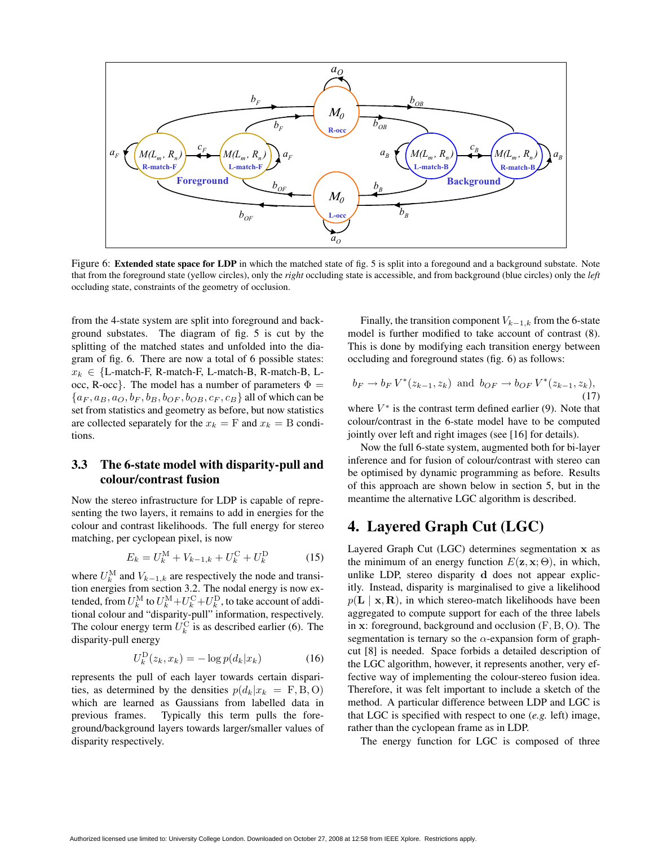

Figure 6: **Extended state space for LDP** in which the matched state of fig. 5 is split into a foregound and a background substate. Note that from the foreground state (yellow circles), only the *right* occluding state is accessible, and from background (blue circles) only the *left* occluding state, constraints of the geometry of occlusion.

from the 4-state system are split into foreground and background substates. The diagram of fig. 5 is cut by the splitting of the matched states and unfolded into the diagram of fig. 6. There are now a total of 6 possible states:  $x_k \in \{L\text{-match-F}, R\text{-match-F}, L\text{-match-B}, R\text{-match-B}, L\}$ occ, R-occ}. The model has a number of parameters  $\Phi =$  $\{a_F, a_B, a_O, b_F, b_B, b_{OF}, b_{OB}, c_F, c_B\}$  all of which can be set from statistics and geometry as before, but now statistics are collected separately for the  $x_k = F$  and  $x_k = B$  conditions.

# **3.3 The 6-state model with disparity-pull and colour/contrast fusion**

Now the stereo infrastructure for LDP is capable of representing the two layers, it remains to add in energies for the colour and contrast likelihoods. The full energy for stereo matching, per cyclopean pixel, is now

$$
E_k = U_k^{\text{M}} + V_{k-1,k} + U_k^{\text{C}} + U_k^{\text{D}}
$$
 (15)

where  $U_k^{\text{M}}$  and  $V_{k-1,k}$  are respectively the node and transition energies from section 3.2. The nodal energy is now extended, from  $U_k^{\text{M}}$  to  $U_k^{\text{M}} + U_k^{\text{C}} + U_k^{\text{D}}$ , to take account of additional colour and "disparity-pull" information, respectively. The colour energy term  $U_k^{\text{C}}$  is as described earlier (6). The disparity-pull energy

$$
U_k^{\mathcal{D}}(z_k, x_k) = -\log p(d_k | x_k)
$$
 (16)

represents the pull of each layer towards certain disparities, as determined by the densities  $p(d_k|x_k = F, B, O)$ which are learned as Gaussians from labelled data in previous frames. Typically this term pulls the foreground/background layers towards larger/smaller values of disparity respectively.

Finally, the transition component  $V_{k-1,k}$  from the 6-state model is further modified to take account of contrast (8). This is done by modifying each transition energy between occluding and foreground states (fig. 6) as follows:

$$
b_F \to b_F V^*(z_{k-1}, z_k)
$$
 and  $b_{OF} \to b_{OF} V^*(z_{k-1}, z_k)$ , (17)

where  $V^*$  is the contrast term defined earlier (9). Note that colour/contrast in the 6-state model have to be computed jointly over left and right images (see [16] for details).

Now the full 6-state system, augmented both for bi-layer inference and for fusion of colour/contrast with stereo can be optimised by dynamic programming as before. Results of this approach are shown below in section 5, but in the meantime the alternative LGC algorithm is described.

# **4. Layered Graph Cut (LGC)**

Layered Graph Cut (LGC) determines segmentation **x** as the minimum of an energy function  $E(\mathbf{z}, \mathbf{x}; \Theta)$ , in which, unlike LDP, stereo disparity **d** does not appear explicitly. Instead, disparity is marginalised to give a likelihood  $p(\mathbf{L} \mid \mathbf{x}, \mathbf{R})$ , in which stereo-match likelihoods have been aggregated to compute support for each of the three labels in **x**: foreground, background and occlusion (F, B, O). The segmentation is ternary so the  $\alpha$ -expansion form of graphcut [8] is needed. Space forbids a detailed description of the LGC algorithm, however, it represents another, very effective way of implementing the colour-stereo fusion idea. Therefore, it was felt important to include a sketch of the method. A particular difference between LDP and LGC is that LGC is specified with respect to one (*e.g.* left) image, rather than the cyclopean frame as in LDP.

The energy function for LGC is composed of three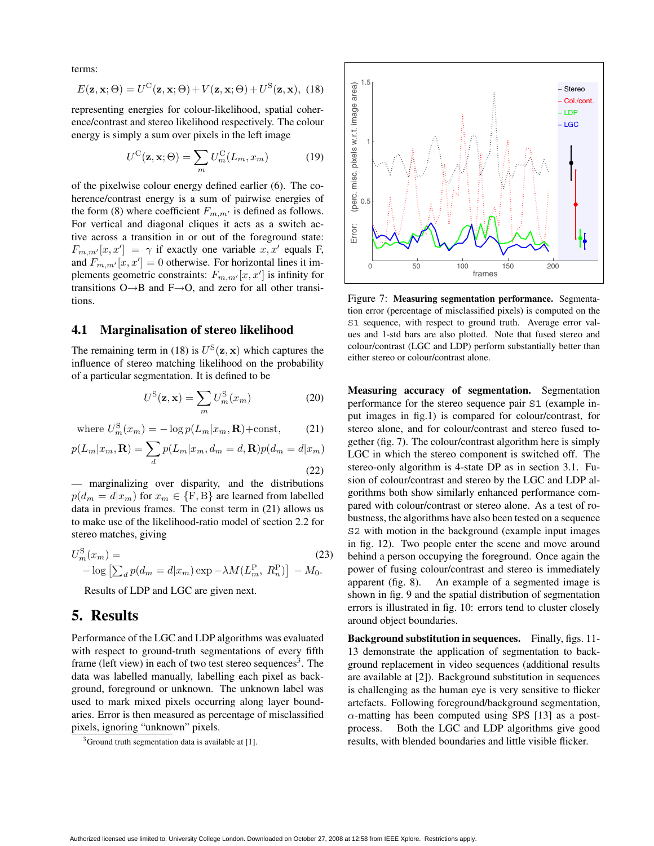terms:

$$
E(\mathbf{z}, \mathbf{x}; \Theta) = U^{\mathcal{C}}(\mathbf{z}, \mathbf{x}; \Theta) + V(\mathbf{z}, \mathbf{x}; \Theta) + U^{\mathcal{S}}(\mathbf{z}, \mathbf{x}), \tag{18}
$$

representing energies for colour-likelihood, spatial coherence/contrast and stereo likelihood respectively. The colour energy is simply a sum over pixels in the left image

$$
U^{\mathcal{C}}(\mathbf{z}, \mathbf{x}; \Theta) = \sum_{m} U_{m}^{\mathcal{C}}(L_{m}, x_{m}) \tag{19}
$$

of the pixelwise colour energy defined earlier (6). The coherence/contrast energy is a sum of pairwise energies of the form (8) where coefficient  $F_{m,m'}$  is defined as follows. For vertical and diagonal cliques it acts as a switch active across a transition in or out of the foreground state:  $F_{m,m'}[x,x'] = \gamma$  if exactly one variable  $x, x'$  equals F, and  $F_{m,m'}[x, x'] = 0$  otherwise. For horizontal lines it implements geometric constraints:  $F_{m,m'}[x, x']$  is infinity for transitions O→B and F→O, and zero for all other transitions.

#### **4.1 Marginalisation of stereo likelihood**

The remaining term in (18) is  $U^{S}(\mathbf{z}, \mathbf{x})$  which captures the influence of stereo matching likelihood on the probability of a particular segmentation. It is defined to be

$$
U^{\rm S}(\mathbf{z}, \mathbf{x}) = \sum_{m} U^{\rm S}_{m}(x_m)
$$
 (20)

where 
$$
U_m^{\rm S}(x_m) = -\log p(L_m|x_m, \mathbf{R}) + \text{const},
$$
 (21)

$$
p(L_m|x_m, \mathbf{R}) = \sum_{d} p(L_m|x_m, d_m = d, \mathbf{R}) p(d_m = d|x_m)
$$
\n(22)

— marginalizing over disparity, and the distributions  $p(d_m = d|x_m)$  for  $x_m \in \{F, B\}$  are learned from labelled data in previous frames. The const term in (21) allows us to make use of the likelihood-ratio model of section 2.2 for stereo matches, giving

$$
U_m^{\rm S}(x_m) = -\log \left[ \sum_d p(d_m = d | x_m) \exp{-\lambda M (L_m^{\rm P}, R_n^{\rm P})} \right] - M_0.
$$
 (23)

Results of LDP and LGC are given next.

# **5. Results**

Performance of the LGC and LDP algorithms was evaluated with respect to ground-truth segmentations of every fifth frame (left view) in each of two test stereo sequences<sup>3</sup>. The data was labelled manually, labelling each pixel as background, foreground or unknown. The unknown label was used to mark mixed pixels occurring along layer boundaries. Error is then measured as percentage of misclassified pixels, ignoring "unknown" pixels.



Figure 7: **Measuring segmentation performance.** Segmentation error (percentage of misclassified pixels) is computed on the S1 sequence, with respect to ground truth. Average error values and 1-std bars are also plotted. Note that fused stereo and colour/contrast (LGC and LDP) perform substantially better than either stereo or colour/contrast alone.

**Measuring accuracy of segmentation.** Segmentation performance for the stereo sequence pair S1 (example input images in fig.1) is compared for colour/contrast, for stereo alone, and for colour/contrast and stereo fused together (fig. 7). The colour/contrast algorithm here is simply LGC in which the stereo component is switched off. The stereo-only algorithm is 4-state DP as in section 3.1. Fusion of colour/contrast and stereo by the LGC and LDP algorithms both show similarly enhanced performance compared with colour/contrast or stereo alone. As a test of robustness, the algorithms have also been tested on a sequence S2 with motion in the background (example input images in fig. 12). Two people enter the scene and move around behind a person occupying the foreground. Once again the power of fusing colour/contrast and stereo is immediately apparent (fig. 8). An example of a segmented image is shown in fig. 9 and the spatial distribution of segmentation errors is illustrated in fig. 10: errors tend to cluster closely around object boundaries.

**Background substitution in sequences.** Finally, figs. 11- 13 demonstrate the application of segmentation to background replacement in video sequences (additional results are available at [2]). Background substitution in sequences is challenging as the human eye is very sensitive to flicker artefacts. Following foreground/background segmentation,  $\alpha$ -matting has been computed using SPS [13] as a postprocess. Both the LGC and LDP algorithms give good results, with blended boundaries and little visible flicker.

 $3$ Ground truth segmentation data is available at [1].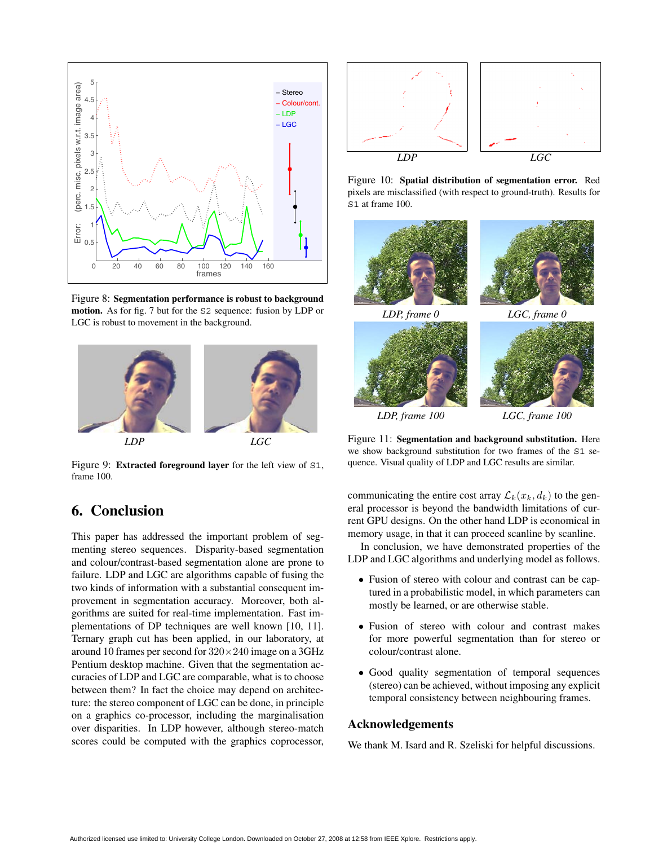

Figure 8: **Segmentation performance is robust to background motion.** As for fig. 7 but for the S2 sequence: fusion by LDP or LGC is robust to movement in the background.



Figure 9: **Extracted foreground layer** for the left view of S1, frame 100.

# **6. Conclusion**

This paper has addressed the important problem of segmenting stereo sequences. Disparity-based segmentation and colour/contrast-based segmentation alone are prone to failure. LDP and LGC are algorithms capable of fusing the two kinds of information with a substantial consequent improvement in segmentation accuracy. Moreover, both algorithms are suited for real-time implementation. Fast implementations of DP techniques are well known [10, 11]. Ternary graph cut has been applied, in our laboratory, at around 10 frames per second for  $320 \times 240$  image on a 3GHz Pentium desktop machine. Given that the segmentation accuracies of LDP and LGC are comparable, what is to choose between them? In fact the choice may depend on architecture: the stereo component of LGC can be done, in principle on a graphics co-processor, including the marginalisation over disparities. In LDP however, although stereo-match scores could be computed with the graphics coprocessor,



Figure 10: **Spatial distribution of segmentation error.** Red pixels are misclassified (with respect to ground-truth). Results for S1 at frame 100.



Figure 11: **Segmentation and background substitution.** Here we show background substitution for two frames of the S1 sequence. Visual quality of LDP and LGC results are similar.

communicating the entire cost array  $\mathcal{L}_k(x_k, d_k)$  to the general processor is beyond the bandwidth limitations of current GPU designs. On the other hand LDP is economical in memory usage, in that it can proceed scanline by scanline.

In conclusion, we have demonstrated properties of the LDP and LGC algorithms and underlying model as follows.

- Fusion of stereo with colour and contrast can be captured in a probabilistic model, in which parameters can mostly be learned, or are otherwise stable.
- Fusion of stereo with colour and contrast makes for more powerful segmentation than for stereo or colour/contrast alone.
- Good quality segmentation of temporal sequences (stereo) can be achieved, without imposing any explicit temporal consistency between neighbouring frames.

## **Acknowledgements**

We thank M. Isard and R. Szeliski for helpful discussions.